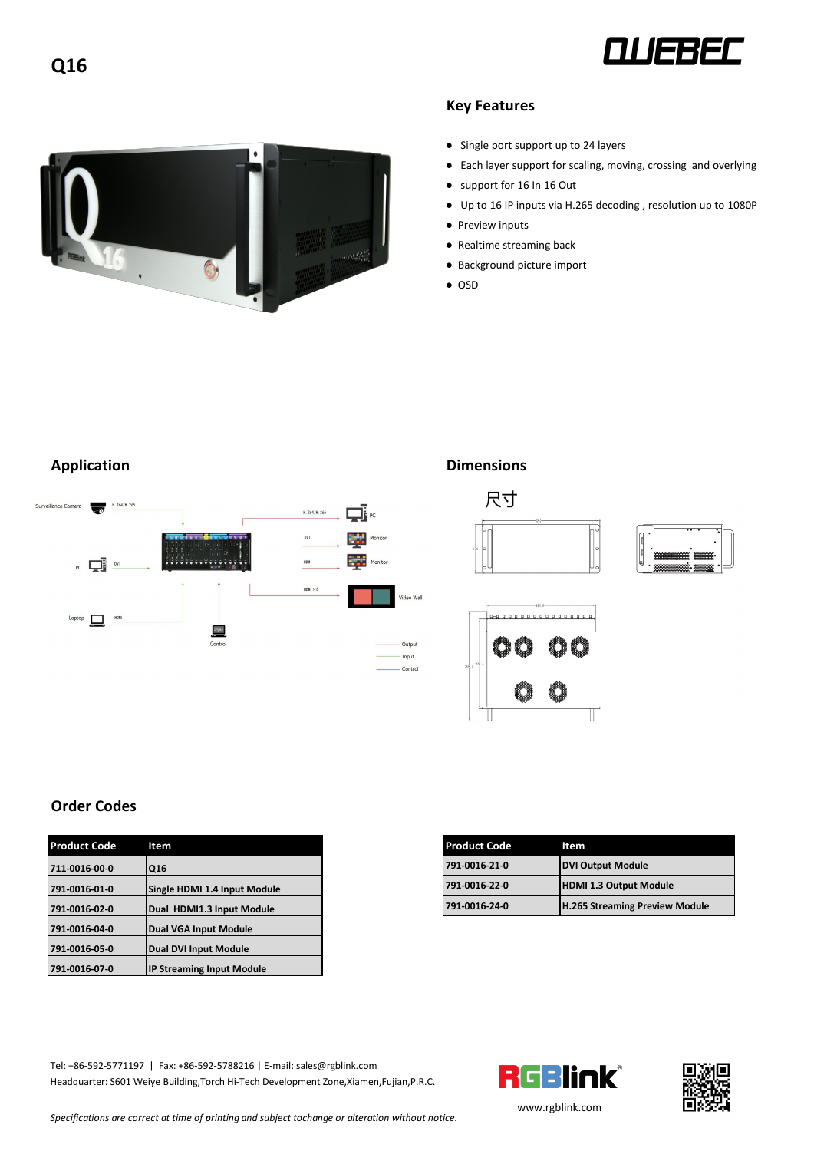



## **Key Features**

- Single port support up to 24 layers
- Each layer support for scaling, moving, crossing and overlying
- support for 16 In 16 Out
- Up to 16 IP inputs via H.265 decoding, resolution up to 1080P
- Preview inputs
- Realtime streaming back
- Background picture import
- OSD



## **Application Dimensions**



## **Order Codes**

| <b>Product Code</b> | Item                             |
|---------------------|----------------------------------|
| 711-0016-00-0       | Q16                              |
| 791-0016-01-0       | Single HDMI 1.4 Input Module     |
| 791-0016-02-0       | Dual HDMI1.3 Input Module        |
| 791-0016-04-0       | <b>Dual VGA Input Module</b>     |
| 791-0016-05-0       | <b>Dual DVI Input Module</b>     |
| 791-0016-07-0       | <b>IP Streaming Input Module</b> |

| Product Code  | ltem                         | <b>Product Code</b> | Item                                  |
|---------------|------------------------------|---------------------|---------------------------------------|
| 711-0016-00-0 | Q16                          | 791-0016-21-0       | <b>IDVI Output Module</b>             |
| 791-0016-01-0 | Single HDMI 1.4 Input Module | 791-0016-22-0       | <b>HDMI 1.3 Output Module</b>         |
| 791-0016-02-0 | Dual HDMI1.3 Input Module    | 791-0016-24-0       | <b>H.265 Streaming Preview Module</b> |

Tel: +86-592-5771197 | Fax: +86-592-5788216 | E-mail: sales@rgblink.com<br>Headquarter: S601 Weiye Building, Torch Hi-Tech Development Zone, Xiamen, Fujian, P.R.C. Headquarter: S601 Weiye Building,Torch Hi-Tech Development Zone,Xiamen,Fujian,P.R.C.





*Specifications are correctat time of printing and subject tochange or alteration without notice.*